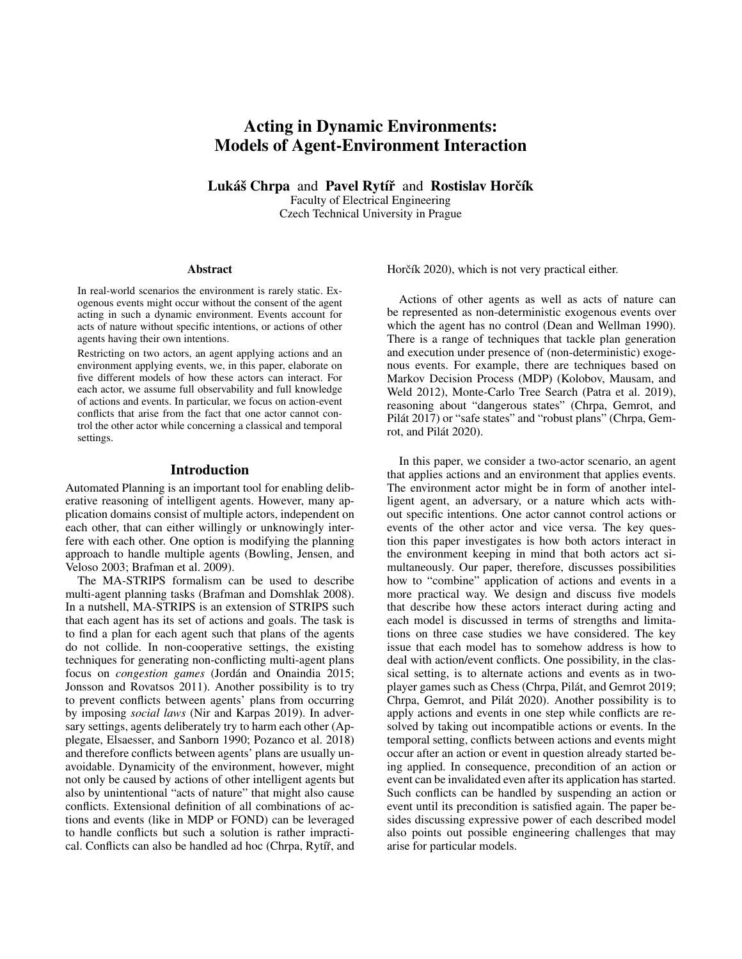# Acting in Dynamic Environments: Models of Agent-Environment Interaction

Lukáš Chrpa and Pavel Rytíř and Rostislav Horčík Faculty of Electrical Engineering Czech Technical University in Prague

#### Abstract

In real-world scenarios the environment is rarely static. Exogenous events might occur without the consent of the agent acting in such a dynamic environment. Events account for acts of nature without specific intentions, or actions of other agents having their own intentions.

Restricting on two actors, an agent applying actions and an environment applying events, we, in this paper, elaborate on five different models of how these actors can interact. For each actor, we assume full observability and full knowledge of actions and events. In particular, we focus on action-event conflicts that arise from the fact that one actor cannot control the other actor while concerning a classical and temporal settings.

#### Introduction

Automated Planning is an important tool for enabling deliberative reasoning of intelligent agents. However, many application domains consist of multiple actors, independent on each other, that can either willingly or unknowingly interfere with each other. One option is modifying the planning approach to handle multiple agents (Bowling, Jensen, and Veloso 2003; Brafman et al. 2009).

The MA-STRIPS formalism can be used to describe multi-agent planning tasks (Brafman and Domshlak 2008). In a nutshell, MA-STRIPS is an extension of STRIPS such that each agent has its set of actions and goals. The task is to find a plan for each agent such that plans of the agents do not collide. In non-cooperative settings, the existing techniques for generating non-conflicting multi-agent plans focus on *congestion games* (Jordán and Onaindia 2015; Jonsson and Rovatsos 2011). Another possibility is to try to prevent conflicts between agents' plans from occurring by imposing *social laws* (Nir and Karpas 2019). In adversary settings, agents deliberately try to harm each other (Applegate, Elsaesser, and Sanborn 1990; Pozanco et al. 2018) and therefore conflicts between agents' plans are usually unavoidable. Dynamicity of the environment, however, might not only be caused by actions of other intelligent agents but also by unintentional "acts of nature" that might also cause conflicts. Extensional definition of all combinations of actions and events (like in MDP or FOND) can be leveraged to handle conflicts but such a solution is rather impractical. Conflicts can also be handled ad hoc (Chrpa, Rytíř, and Horčík 2020), which is not very practical either.

Actions of other agents as well as acts of nature can be represented as non-deterministic exogenous events over which the agent has no control (Dean and Wellman 1990). There is a range of techniques that tackle plan generation and execution under presence of (non-deterministic) exogenous events. For example, there are techniques based on Markov Decision Process (MDP) (Kolobov, Mausam, and Weld 2012), Monte-Carlo Tree Search (Patra et al. 2019), reasoning about "dangerous states" (Chrpa, Gemrot, and Pilát 2017) or "safe states" and "robust plans" (Chrpa, Gemrot, and Pilát 2020).

In this paper, we consider a two-actor scenario, an agent that applies actions and an environment that applies events. The environment actor might be in form of another intelligent agent, an adversary, or a nature which acts without specific intentions. One actor cannot control actions or events of the other actor and vice versa. The key question this paper investigates is how both actors interact in the environment keeping in mind that both actors act simultaneously. Our paper, therefore, discusses possibilities how to "combine" application of actions and events in a more practical way. We design and discuss five models that describe how these actors interact during acting and each model is discussed in terms of strengths and limitations on three case studies we have considered. The key issue that each model has to somehow address is how to deal with action/event conflicts. One possibility, in the classical setting, is to alternate actions and events as in twoplayer games such as Chess (Chrpa, Pilat, and Gemrot 2019; ´ Chrpa, Gemrot, and Pilát 2020). Another possibility is to apply actions and events in one step while conflicts are resolved by taking out incompatible actions or events. In the temporal setting, conflicts between actions and events might occur after an action or event in question already started being applied. In consequence, precondition of an action or event can be invalidated even after its application has started. Such conflicts can be handled by suspending an action or event until its precondition is satisfied again. The paper besides discussing expressive power of each described model also points out possible engineering challenges that may arise for particular models.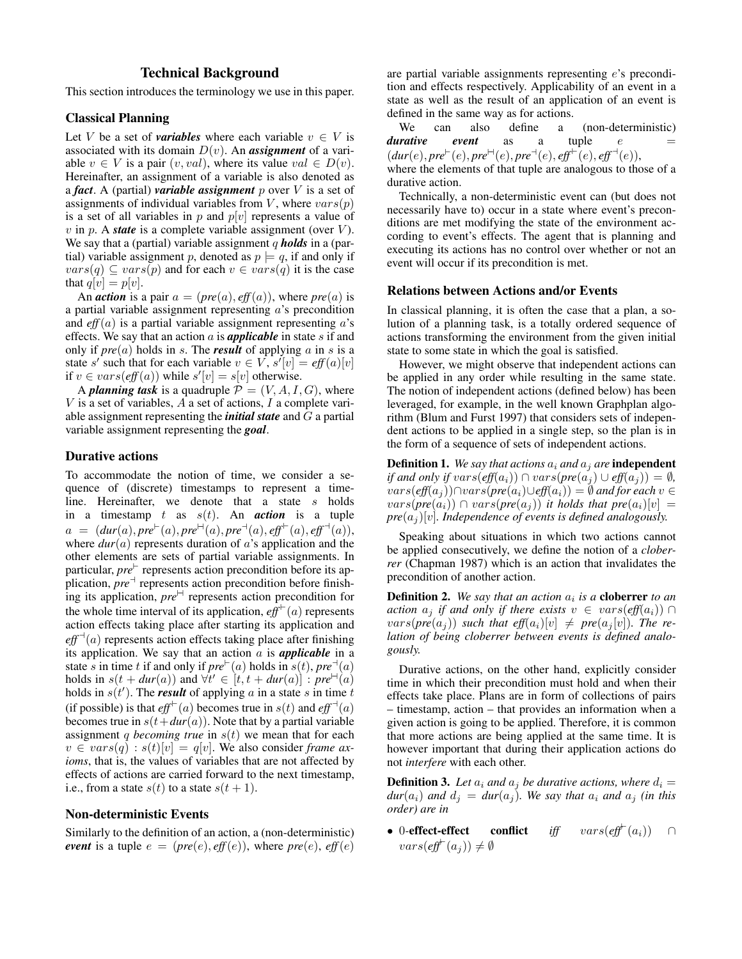## Technical Background

This section introduces the terminology we use in this paper.

## Classical Planning

Let V be a set of *variables* where each variable  $v \in V$  is associated with its domain  $D(v)$ . An *assignment* of a variable  $v \in V$  is a pair  $(v, val)$ , where its value  $val \in D(v)$ . Hereinafter, an assignment of a variable is also denoted as a *fact*. A (partial) *variable assignment* p over V is a set of assignments of individual variables from V, where  $vars(p)$ is a set of all variables in p and  $p[v]$  represents a value of  $v$  in p. A *state* is a complete variable assignment (over  $V$ ). We say that a (partial) variable assignment q **holds** in a (partial) variable assignment p, denoted as  $p \models q$ , if and only if  $vars(q) \subseteq vars(p)$  and for each  $v \in vars(q)$  it is the case that  $q[v] = p[v]$ .

An *action* is a pair  $a = (pre(a), eff(a))$ , where  $pre(a)$  is a partial variable assignment representing a's precondition and  $eff(a)$  is a partial variable assignment representing  $a$ 's effects. We say that an action  $a$  is **applicable** in state  $s$  if and only if  $pre(a)$  holds in s. The *result* of applying a in s is a state s' such that for each variable  $v \in V$ ,  $s'[v] = eff(a)[v]$ if  $v \in vars(eff(a))$  while  $s'[v] = s[v]$  otherwise.

A *planning task* is a quadruple  $P = (V, A, I, G)$ , where  $V$  is a set of variables,  $A$  a set of actions,  $I$  a complete variable assignment representing the *initial state* and G a partial variable assignment representing the *goal*.

## Durative actions

To accommodate the notion of time, we consider a sequence of (discrete) timestamps to represent a timeline. Hereinafter, we denote that a state s holds in a timestamp  $t$  as  $s(t)$ . An *action* is a tuple  $a = (dur(a), pre^{\vdash}(a), pre^{\vdash}(a), pre^{\dashv}(a), eff^{\vdash}(a), eff^{\dashv}(a)),$ where  $dur(a)$  represents duration of  $a$ 's application and the other elements are sets of partial variable assignments. In particular, *pre*<sup>1</sup> represents action precondition before its application,  $\overline{pre}^{\dashv}$  represents action precondition before finishing its application,  $pre^{\mathbb{H}}$  represents action precondition for the whole time interval of its application,  $eff^{+}(a)$  represents action effects taking place after starting its application and  $\textit{eff}^{-1}(a)$  represents action effects taking place after finishing its application. We say that an action a is *applicable* in a state s in time t if and only if  $pre^{\vdash}(a)$  holds in  $s(t)$ ,  $pre^{\dashv}(a)$ holds in  $s(t + dur(a))$  and  $\forall t' \in [t, t + dur(a)]$ :  $pre^{\Box}(a)$ holds in  $s(t')$ . The *result* of applying a in a state s in time t (if possible) is that  $eff^+(a)$  becomes true in  $s(t)$  and  $eff^-(a)$ becomes true in  $s(t+dur(a))$ . Note that by a partial variable assignment q *becoming true* in  $s(t)$  we mean that for each  $v \in vars(q) : s(t)[v] = q[v]$ . We also consider *frame axioms*, that is, the values of variables that are not affected by effects of actions are carried forward to the next timestamp, i.e., from a state  $s(t)$  to a state  $s(t + 1)$ .

#### Non-deterministic Events

Similarly to the definition of an action, a (non-deterministic) *event* is a tuple  $e = (pre(e), eff(e)),$  where  $pre(e), eff(e)$  are partial variable assignments representing e's precondition and effects respectively. Applicability of an event in a state as well as the result of an application of an event is defined in the same way as for actions.

We can also define a (non-deterministic)  *<i>event* as a tuple  $e$  $(dur(e), pre^{\vdash}(e), pre^{\vdash}(e), pre^{\vdash}(e), eff^{\vdash}(e), eff^{\vdash}(e)),$ where the elements of that tuple are analogous to those of a durative action.

Technically, a non-deterministic event can (but does not necessarily have to) occur in a state where event's preconditions are met modifying the state of the environment according to event's effects. The agent that is planning and executing its actions has no control over whether or not an event will occur if its precondition is met.

#### Relations between Actions and/or Events

In classical planning, it is often the case that a plan, a solution of a planning task, is a totally ordered sequence of actions transforming the environment from the given initial state to some state in which the goal is satisfied.

However, we might observe that independent actions can be applied in any order while resulting in the same state. The notion of independent actions (defined below) has been leveraged, for example, in the well known Graphplan algorithm (Blum and Furst 1997) that considers sets of independent actions to be applied in a single step, so the plan is in the form of a sequence of sets of independent actions.

**Definition 1.** We say that actions  $a_i$  and  $a_j$  are **independent** *if and only if vars*( $\text{eff}(a_i)$ ) ∩  $vars(\text{pre}(a_i) \cup \text{eff}(a_i)) = \emptyset$ *,*  $vars(eff(a_i))$ ∩vars( $pre(a_i) \cup eff(a_i)) = ∅$  *and for each*  $v ∈$  $vars(pre(a_i)) \cap vars(pre(a_j))$  *it holds that pre* $(a_i)[v] =$  $pre(a_i)[v]$ *. Independence of events is defined analogously.* 

Speaking about situations in which two actions cannot be applied consecutively, we define the notion of a *cloberrer* (Chapman 1987) which is an action that invalidates the precondition of another action.

**Definition 2.** We say that an action  $a_i$  is a **cloberrer** to an *action*  $a_i$  *if and only if there exists*  $v \in vars(\textit{eff}(a_i)) \cap$  $vars(pre(a_i))$  *such that eff* $(a_i)[v] \neq pre(a_i[v])$ *. The relation of being cloberrer between events is defined analogously.*

Durative actions, on the other hand, explicitly consider time in which their precondition must hold and when their effects take place. Plans are in form of collections of pairs – timestamp, action – that provides an information when a given action is going to be applied. Therefore, it is common that more actions are being applied at the same time. It is however important that during their application actions do not *interfere* with each other.

**Definition 3.** Let  $a_i$  and  $a_j$  be durative actions, where  $d_i =$  $dur(a_i)$  *and*  $d_j = dur(a_j)$ *. We say that*  $a_i$  *and*  $a_j$  *(in this order) are in*

• 0-effect-effect conflict *iff*  $vars(eff^{\vdash}(a_i)) \cap$  $vars(\textit{eff}^{\vdash}(a_j)) \neq \emptyset$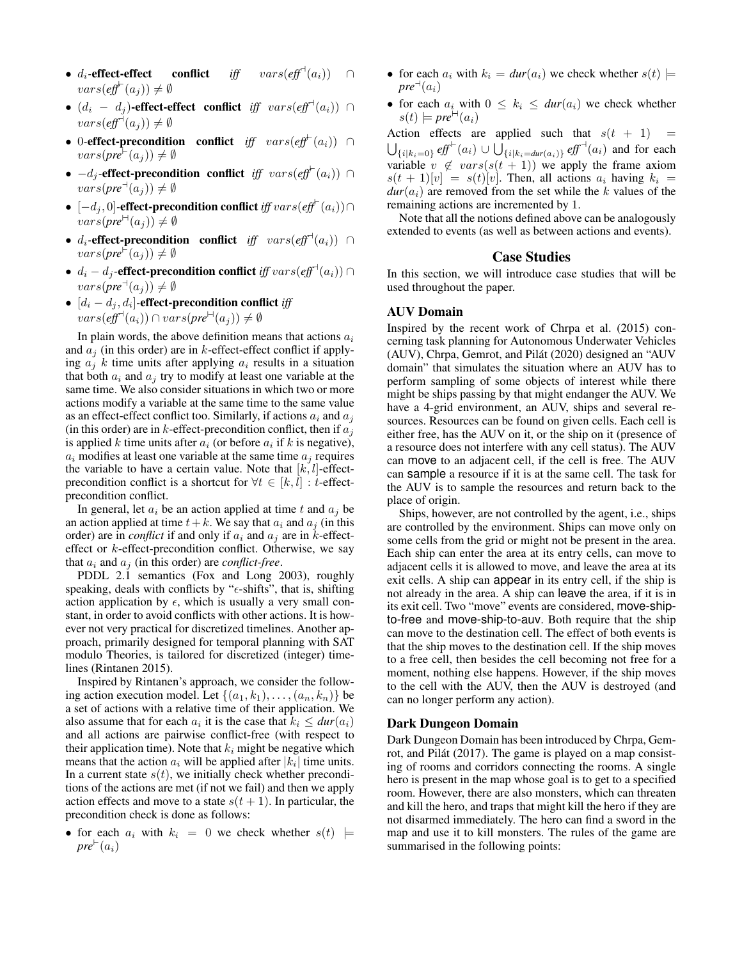- $d_i$ -effect-effect conflict *iff*  $vars(eff^{\dagger}(a_i))$  $vars(\textit{eff}^{\vdash}(a_j)) \neq \emptyset$
- $(d_i d_j)$ -effect-effect conflict *iff*  $vars(eff^{\dagger}(a_i))$  ∩  $vars(\textit{eff}^{\dashv}(a_j)) \neq \emptyset$
- 0*-*effect-precondition conflict *iff* vars(*eff*` (ai)) ∩  $vars(pre^{\vdash}(a_i)) \neq \emptyset$
- $-d_j$ **-effect-precondition conflict** iff  $vars(\text{eff}^+(a_i))$  $vars(pre^{\dagger}(a_i)) \neq \emptyset$
- [−d<sup>j</sup> , 0]*-*effect-precondition conflict *iff* vars(*eff*` (ai))∩  $vars(pre^{\text{H}}(a_i)) \neq \emptyset$
- $d_i$ -effect-precondition conflict *iff*  $vars(\ell f f^{\dashv}(a_i))$  ∩  $vars(pre^{\vdash}(a_i)) \neq \emptyset$
- $d_i d_j$ **-effect-precondition conflict** iff  $vars(\text{eff}^{\dashv}(a_i)) \cap$  $vars(pre^{\dashv}(a_i)) \neq \emptyset$
- [d<sup>i</sup> − d<sup>j</sup> , d<sup>i</sup> ]*-*effect-precondition conflict *iff*  $vars($ eff<sup>-1</sup>(a<sub>i</sub>))  $\cap vars($  pre<sup> $\vdash$ </sup>(a<sub>j</sub>))  $\neq \emptyset$

In plain words, the above definition means that actions  $a_i$ and  $a_i$  (in this order) are in k-effect-effect conflict if applying  $a_i$  k time units after applying  $a_i$  results in a situation that both  $a_i$  and  $a_j$  try to modify at least one variable at the same time. We also consider situations in which two or more actions modify a variable at the same time to the same value as an effect-effect conflict too. Similarly, if actions  $a_i$  and  $a_j$ (in this order) are in k-effect-precondition conflict, then if  $a_i$ is applied k time units after  $a_i$  (or before  $a_i$  if k is negative),  $a_i$  modifies at least one variable at the same time  $a_i$  requires the variable to have a certain value. Note that  $[k, l]$ -effectprecondition conflict is a shortcut for  $\forall t \in [k, l] : t$ -effectprecondition conflict.

In general, let  $a_i$  be an action applied at time t and  $a_j$  be an action applied at time  $t+k$ . We say that  $a_i$  and  $a_j$  (in this order) are in *conflict* if and only if  $a_i$  and  $a_j$  are in *k*-effecteffect or  $k$ -effect-precondition conflict. Otherwise, we say that  $a_i$  and  $a_j$  (in this order) are *conflict-free*.

PDDL 2.1 semantics (Fox and Long 2003), roughly speaking, deals with conflicts by " $\epsilon$ -shifts", that is, shifting action application by  $\epsilon$ , which is usually a very small constant, in order to avoid conflicts with other actions. It is however not very practical for discretized timelines. Another approach, primarily designed for temporal planning with SAT modulo Theories, is tailored for discretized (integer) timelines (Rintanen 2015).

Inspired by Rintanen's approach, we consider the following action execution model. Let  $\{(a_1, k_1), \ldots, (a_n, k_n)\}\$  be a set of actions with a relative time of their application. We also assume that for each  $a_i$  it is the case that  $k_i \leq \text{dur}(a_i)$ and all actions are pairwise conflict-free (with respect to their application time). Note that  $k_i$  might be negative which means that the action  $a_i$  will be applied after  $|k_i|$  time units. In a current state  $s(t)$ , we initially check whether preconditions of the actions are met (if not we fail) and then we apply action effects and move to a state  $s(t + 1)$ . In particular, the precondition check is done as follows:

• for each  $a_i$  with  $k_i = 0$  we check whether  $s(t)$   $\models$  $pre^{\vdash}(a_i)$ 

- for each  $a_i$  with  $k_i = \frac{dur(a_i)}{w}$  we check whether  $s(t)$   $\models$  $pre^{\dashv}(a_i)$
- for each  $a_i$  with  $0 \leq k_i \leq dur(a_i)$  we check whether  $s(t) \models pre^{\vdash}(a_i)$

Action effects are applied such that  $s(t + 1)$  =  $\bigcup_{\{i|k_i=0\}}$  *eff*<sup> $⊩(a_i) ∪ ∪_{\{i|k_i=dur(a_i)\}}$  *eff*<sup> $→(a_i)$  and for each</sup></sup> variable  $v \notin vars(s(t + 1))$  we apply the frame axiom  $s(t + 1)[v] = s(t)[v]$ . Then, all actions  $a_i$  having  $k_i =$  $dur(a_i)$  are removed from the set while the k values of the remaining actions are incremented by 1.

Note that all the notions defined above can be analogously extended to events (as well as between actions and events).

## Case Studies

In this section, we will introduce case studies that will be used throughout the paper.

#### AUV Domain

Inspired by the recent work of Chrpa et al. (2015) concerning task planning for Autonomous Underwater Vehicles (AUV), Chrpa, Gemrot, and Pilát (2020) designed an "AUV domain" that simulates the situation where an AUV has to perform sampling of some objects of interest while there might be ships passing by that might endanger the AUV. We have a 4-grid environment, an AUV, ships and several resources. Resources can be found on given cells. Each cell is either free, has the AUV on it, or the ship on it (presence of a resource does not interfere with any cell status). The AUV can move to an adjacent cell, if the cell is free. The AUV can sample a resource if it is at the same cell. The task for the AUV is to sample the resources and return back to the place of origin.

Ships, however, are not controlled by the agent, i.e., ships are controlled by the environment. Ships can move only on some cells from the grid or might not be present in the area. Each ship can enter the area at its entry cells, can move to adjacent cells it is allowed to move, and leave the area at its exit cells. A ship can appear in its entry cell, if the ship is not already in the area. A ship can leave the area, if it is in its exit cell. Two "move" events are considered, move-shipto-free and move-ship-to-auv. Both require that the ship can move to the destination cell. The effect of both events is that the ship moves to the destination cell. If the ship moves to a free cell, then besides the cell becoming not free for a moment, nothing else happens. However, if the ship moves to the cell with the AUV, then the AUV is destroyed (and can no longer perform any action).

#### Dark Dungeon Domain

Dark Dungeon Domain has been introduced by Chrpa, Gemrot, and Pilát (2017). The game is played on a map consisting of rooms and corridors connecting the rooms. A single hero is present in the map whose goal is to get to a specified room. However, there are also monsters, which can threaten and kill the hero, and traps that might kill the hero if they are not disarmed immediately. The hero can find a sword in the map and use it to kill monsters. The rules of the game are summarised in the following points: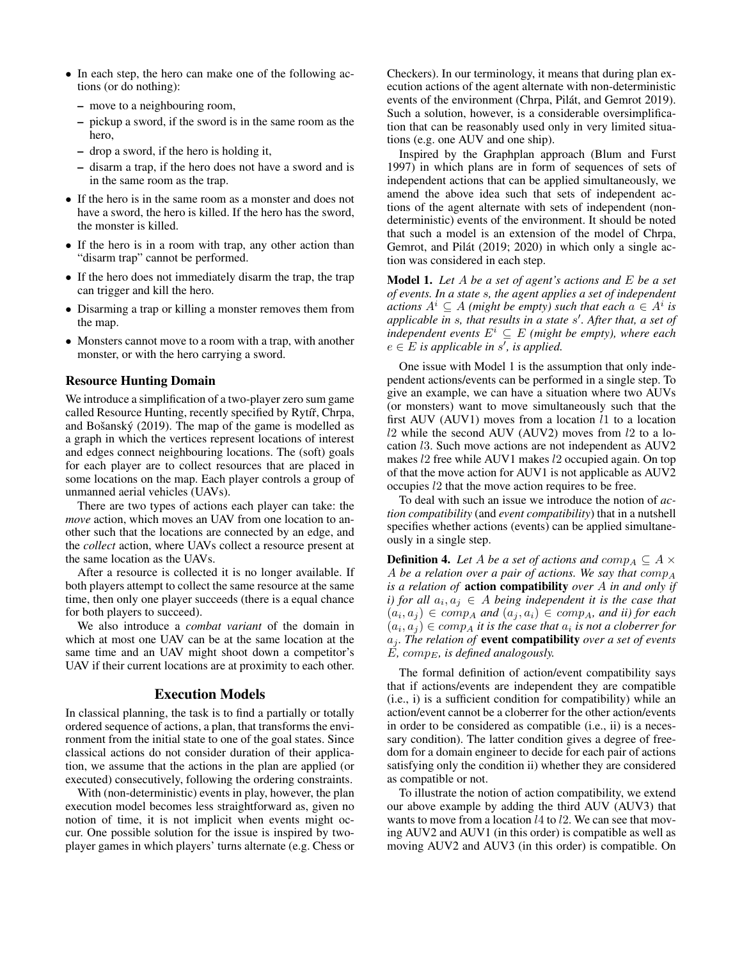- In each step, the hero can make one of the following actions (or do nothing):
	- move to a neighbouring room,
	- pickup a sword, if the sword is in the same room as the hero,
	- drop a sword, if the hero is holding it,
	- disarm a trap, if the hero does not have a sword and is in the same room as the trap.
- If the hero is in the same room as a monster and does not have a sword, the hero is killed. If the hero has the sword, the monster is killed.
- If the hero is in a room with trap, any other action than "disarm trap" cannot be performed.
- If the hero does not immediately disarm the trap, the trap can trigger and kill the hero.
- Disarming a trap or killing a monster removes them from the map.
- Monsters cannot move to a room with a trap, with another monster, or with the hero carrying a sword.

## Resource Hunting Domain

We introduce a simplification of a two-player zero sum game called Resource Hunting, recently specified by Rytíř, Chrpa, and Bošanský  $(2019)$ . The map of the game is modelled as a graph in which the vertices represent locations of interest and edges connect neighbouring locations. The (soft) goals for each player are to collect resources that are placed in some locations on the map. Each player controls a group of unmanned aerial vehicles (UAVs).

There are two types of actions each player can take: the *move* action, which moves an UAV from one location to another such that the locations are connected by an edge, and the *collect* action, where UAVs collect a resource present at the same location as the UAVs.

After a resource is collected it is no longer available. If both players attempt to collect the same resource at the same time, then only one player succeeds (there is a equal chance for both players to succeed).

We also introduce a *combat variant* of the domain in which at most one UAV can be at the same location at the same time and an UAV might shoot down a competitor's UAV if their current locations are at proximity to each other.

#### Execution Models

In classical planning, the task is to find a partially or totally ordered sequence of actions, a plan, that transforms the environment from the initial state to one of the goal states. Since classical actions do not consider duration of their application, we assume that the actions in the plan are applied (or executed) consecutively, following the ordering constraints.

With (non-deterministic) events in play, however, the plan execution model becomes less straightforward as, given no notion of time, it is not implicit when events might occur. One possible solution for the issue is inspired by twoplayer games in which players' turns alternate (e.g. Chess or

Checkers). In our terminology, it means that during plan execution actions of the agent alternate with non-deterministic events of the environment (Chrpa, Pilát, and Gemrot 2019). Such a solution, however, is a considerable oversimplification that can be reasonably used only in very limited situations (e.g. one AUV and one ship).

Inspired by the Graphplan approach (Blum and Furst 1997) in which plans are in form of sequences of sets of independent actions that can be applied simultaneously, we amend the above idea such that sets of independent actions of the agent alternate with sets of independent (nondeterministic) events of the environment. It should be noted that such a model is an extension of the model of Chrpa, Gemrot, and Pilát (2019; 2020) in which only a single action was considered in each step.

Model 1. *Let* A *be a set of agent's actions and* E *be a set of events. In a state* s*, the agent applies a set of independent*  $\textit{actions } A^i \subseteq A \text{ (might be empty)} \textit{such that each } a \in A^i \textit{ is }$ *applicable in* s*, that results in a state* s 0 *. After that, a set of independent events*  $E^i \subseteq E$  *(might be empty), where each*  $e \in E$  is applicable in s', is applied.

One issue with Model 1 is the assumption that only independent actions/events can be performed in a single step. To give an example, we can have a situation where two AUVs (or monsters) want to move simultaneously such that the first AUV (AUV1) moves from a location  $l1$  to a location l2 while the second AUV (AUV2) moves from l2 to a location l3. Such move actions are not independent as AUV2 makes l2 free while AUV1 makes l2 occupied again. On top of that the move action for AUV1 is not applicable as AUV2 occupies l2 that the move action requires to be free.

To deal with such an issue we introduce the notion of *action compatibility* (and *event compatibility*) that in a nutshell specifies whether actions (events) can be applied simultaneously in a single step.

**Definition 4.** *Let* A *be a set of actions and comp<sub>A</sub>*  $\subseteq$  A  $\times$ A *be a relation over a pair of actions. We say that* comp<sup>A</sup> *is a relation of* action compatibility *over* A *in and only if i)* for all  $a_i, a_j \in A$  being independent it is the case that  $(a_i, a_j) \in comp_A$  and  $(a_j, a_i) \in comp_A$ , and ii) for each  $(a_i, a_j) \in comp_A$  *it is the case that*  $a_i$  *is not a cloberrer for*  $a_j$ . The relation of **event compatibility** over a set of events  $\dot{E}$ , comp<sub>E</sub>, is defined analogously.

The formal definition of action/event compatibility says that if actions/events are independent they are compatible (i.e., i) is a sufficient condition for compatibility) while an action/event cannot be a cloberrer for the other action/events in order to be considered as compatible (i.e., ii) is a necessary condition). The latter condition gives a degree of freedom for a domain engineer to decide for each pair of actions satisfying only the condition ii) whether they are considered as compatible or not.

To illustrate the notion of action compatibility, we extend our above example by adding the third AUV (AUV3) that wants to move from a location  $l4$  to  $l2$ . We can see that moving AUV2 and AUV1 (in this order) is compatible as well as moving AUV2 and AUV3 (in this order) is compatible. On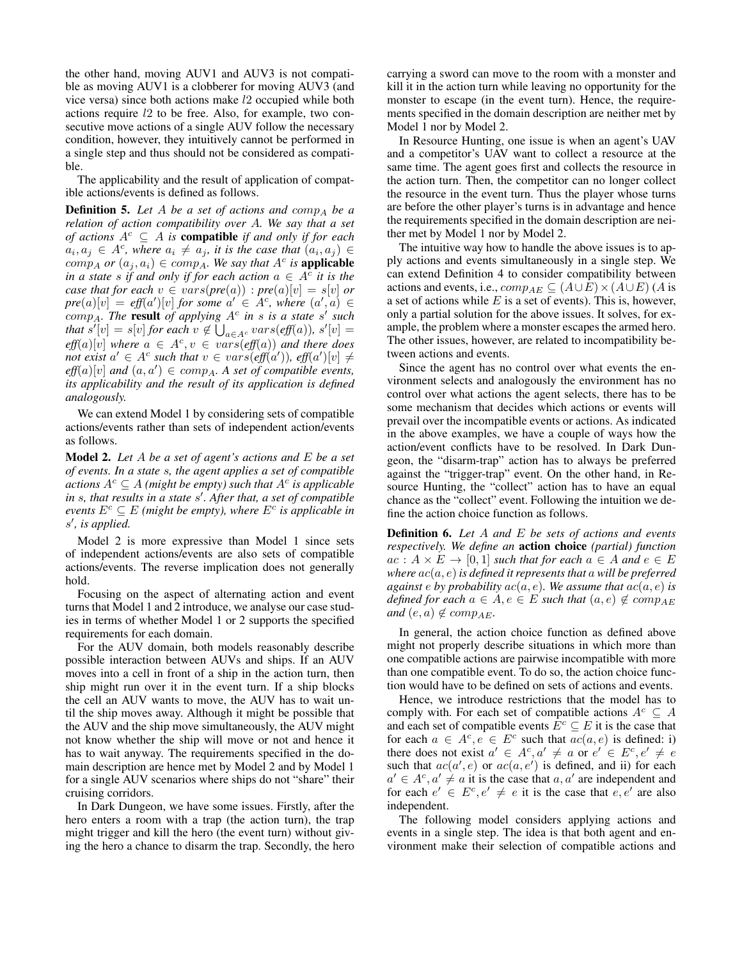the other hand, moving AUV1 and AUV3 is not compatible as moving AUV1 is a clobberer for moving AUV3 (and vice versa) since both actions make l2 occupied while both actions require l2 to be free. Also, for example, two consecutive move actions of a single AUV follow the necessary condition, however, they intuitively cannot be performed in a single step and thus should not be considered as compatible.

The applicability and the result of application of compatible actions/events is defined as follows.

**Definition 5.** Let A be a set of actions and comp<sub>A</sub> be a *relation of action compatibility over* A*. We say that a set of actions*  $A^c \subseteq A$  *is compatible if and only if for each*  $a_i, a_j \in A^c$ , where  $a_i \neq a_j$ , it is the case that  $(a_i, a_j) \in$  $comp_A$  *or*  $(a_j, a_i) \in comp_A$ . We say that  $A^c$  is **applicable** *in a state s if and only if for each action*  $a \in A^c$  *it is the case that for each*  $v \in vars(pre(a))$  :  $pre(a)[v] = s[v]$  *or*  $pre(a)[v] = eff(a')[v]$  for some  $a' \in A^c$ , where  $(a', a) \in$  $comp_A$ . The **result** of applying  $A^c$  in s is a state s' such *that*  $s'[v] = s[v]$  *for each*  $v \notin \bigcup_{a \in A^c} vars(eff(a)), s'[v] =$  $\text{eff}(a)[v]$  where  $a \in A^c$ ,  $v \in vars(\text{eff}(a))$  and there does *not exist*  $a' \in A^c$  such that  $v \in vars(eff(a'))$ *, eff*(a'))<sub></sub> $\neq$  $\textit{eff}(a)[v]$  and  $(a, a') \in \textit{comp}_A$ . A set of compatible events, *its applicability and the result of its application is defined analogously.*

We can extend Model 1 by considering sets of compatible actions/events rather than sets of independent action/events as follows.

Model 2. *Let* A *be a set of agent's actions and* E *be a set of events. In a state* s*, the agent applies a set of compatible actions*  $A^c \subseteq A$  *(might be empty) such that*  $A^c$  *is applicable* in *s*, that results in a state s'. After that, a set of compatible  $e$ *vents*  $E^c \subseteq E$  (might be empty), where  $E^c$  is applicable in s', is applied.

Model 2 is more expressive than Model 1 since sets of independent actions/events are also sets of compatible actions/events. The reverse implication does not generally hold.

Focusing on the aspect of alternating action and event turns that Model 1 and 2 introduce, we analyse our case studies in terms of whether Model 1 or 2 supports the specified requirements for each domain.

For the AUV domain, both models reasonably describe possible interaction between AUVs and ships. If an AUV moves into a cell in front of a ship in the action turn, then ship might run over it in the event turn. If a ship blocks the cell an AUV wants to move, the AUV has to wait until the ship moves away. Although it might be possible that the AUV and the ship move simultaneously, the AUV might not know whether the ship will move or not and hence it has to wait anyway. The requirements specified in the domain description are hence met by Model 2 and by Model 1 for a single AUV scenarios where ships do not "share" their cruising corridors.

In Dark Dungeon, we have some issues. Firstly, after the hero enters a room with a trap (the action turn), the trap might trigger and kill the hero (the event turn) without giving the hero a chance to disarm the trap. Secondly, the hero

carrying a sword can move to the room with a monster and kill it in the action turn while leaving no opportunity for the monster to escape (in the event turn). Hence, the requirements specified in the domain description are neither met by Model 1 nor by Model 2.

In Resource Hunting, one issue is when an agent's UAV and a competitor's UAV want to collect a resource at the same time. The agent goes first and collects the resource in the action turn. Then, the competitor can no longer collect the resource in the event turn. Thus the player whose turns are before the other player's turns is in advantage and hence the requirements specified in the domain description are neither met by Model 1 nor by Model 2.

The intuitive way how to handle the above issues is to apply actions and events simultaneously in a single step. We can extend Definition 4 to consider compatibility between actions and events, i.e.,  $comp_{AE} \subseteq (A \cup E) \times (A \cup E)$  (A is a set of actions while  $E$  is a set of events). This is, however, only a partial solution for the above issues. It solves, for example, the problem where a monster escapes the armed hero. The other issues, however, are related to incompatibility between actions and events.

Since the agent has no control over what events the environment selects and analogously the environment has no control over what actions the agent selects, there has to be some mechanism that decides which actions or events will prevail over the incompatible events or actions. As indicated in the above examples, we have a couple of ways how the action/event conflicts have to be resolved. In Dark Dungeon, the "disarm-trap" action has to always be preferred against the "trigger-trap" event. On the other hand, in Resource Hunting, the "collect" action has to have an equal chance as the "collect" event. Following the intuition we define the action choice function as follows.

Definition 6. *Let* A *and* E *be sets of actions and events respectively. We define an* action choice *(partial) function*  $ac: A \times E \rightarrow [0, 1]$  *such that for each*  $a \in A$  *and*  $e \in E$ *where* ac(a, e)*is defined it represents that* a *will be preferred against* e by probability  $ac(a, e)$ *. We assume that*  $ac(a, e)$  *is defined for each*  $a \in A$ ,  $e \in E$  *such that*  $(a, e) \notin comp_{AE}$ *and*  $(e, a) \notin comp_{AE}$ .

In general, the action choice function as defined above might not properly describe situations in which more than one compatible actions are pairwise incompatible with more than one compatible event. To do so, the action choice function would have to be defined on sets of actions and events.

Hence, we introduce restrictions that the model has to comply with. For each set of compatible actions  $A^c \subseteq A$ and each set of compatible events  $E^c \subseteq E$  it is the case that for each  $a \in A^c, e \in E^c$  such that  $ac(a, e)$  is defined: i) there does not exist  $a' \in A^c, a' \neq a$  or  $e' \in E^c, e' \neq e$ such that  $ac(a', e)$  or  $ac(a, e')$  is defined, and ii) for each  $a' \in A^c, a' \neq a$  it is the case that  $a, a'$  are independent and for each  $e' \in E^c, e' \neq e$  it is the case that  $e, e'$  are also independent.

The following model considers applying actions and events in a single step. The idea is that both agent and environment make their selection of compatible actions and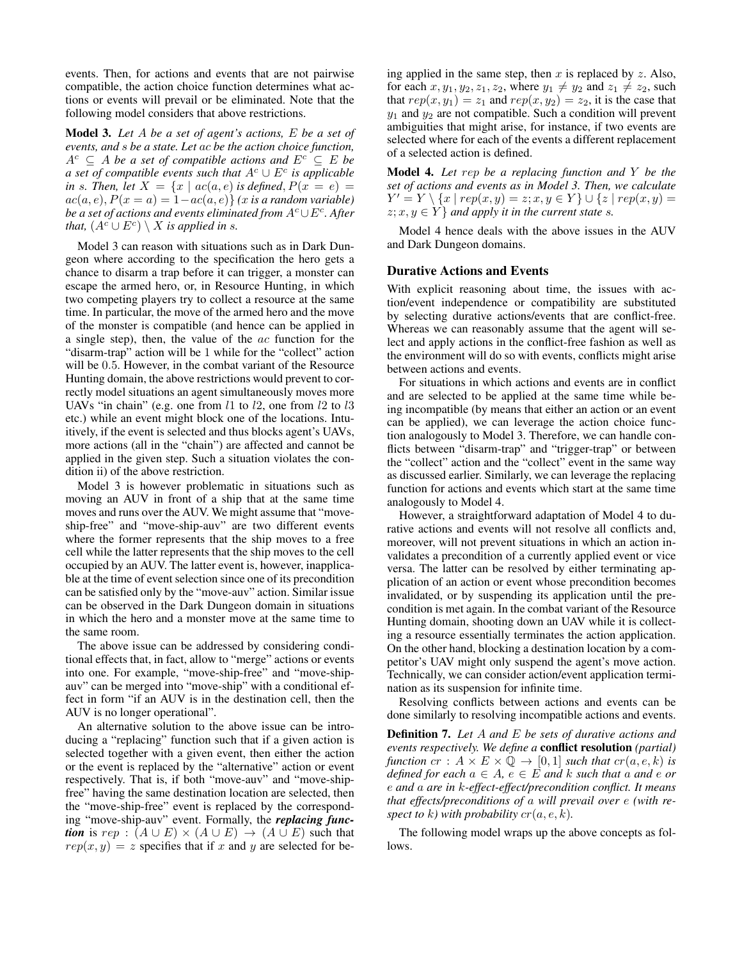events. Then, for actions and events that are not pairwise compatible, the action choice function determines what actions or events will prevail or be eliminated. Note that the following model considers that above restrictions.

Model 3. *Let* A *be a set of agent's actions,* E *be a set of events, and* s *be a state. Let* ac *be the action choice function,*  $A^c \subseteq A$  *be a set of compatible actions and*  $E^c \subseteq E$  *be a set of compatible events such that*  $A^c \cup E^c$  *is applicable in* s. Then, let  $X = \{x \mid ac(a, e) \text{ is defined}, P(x = e) =$  $ac(a, e), P(x = a) = 1 - ac(a, e)$  *(x is a random variable) be a set of actions and events eliminated from*  $A^c$ *∪E* $^c$ *. After that,*  $(A^c \cup E^c) \setminus X$  *is applied in s.* 

Model 3 can reason with situations such as in Dark Dungeon where according to the specification the hero gets a chance to disarm a trap before it can trigger, a monster can escape the armed hero, or, in Resource Hunting, in which two competing players try to collect a resource at the same time. In particular, the move of the armed hero and the move of the monster is compatible (and hence can be applied in a single step), then, the value of the ac function for the "disarm-trap" action will be 1 while for the "collect" action will be 0.5. However, in the combat variant of the Resource Hunting domain, the above restrictions would prevent to correctly model situations an agent simultaneously moves more UAVs "in chain" (e.g. one from  $l1$  to  $l2$ , one from  $l2$  to  $l3$ etc.) while an event might block one of the locations. Intuitively, if the event is selected and thus blocks agent's UAVs, more actions (all in the "chain") are affected and cannot be applied in the given step. Such a situation violates the condition ii) of the above restriction.

Model 3 is however problematic in situations such as moving an AUV in front of a ship that at the same time moves and runs over the AUV. We might assume that "moveship-free" and "move-ship-auv" are two different events where the former represents that the ship moves to a free cell while the latter represents that the ship moves to the cell occupied by an AUV. The latter event is, however, inapplicable at the time of event selection since one of its precondition can be satisfied only by the "move-auv" action. Similar issue can be observed in the Dark Dungeon domain in situations in which the hero and a monster move at the same time to the same room.

The above issue can be addressed by considering conditional effects that, in fact, allow to "merge" actions or events into one. For example, "move-ship-free" and "move-shipauv" can be merged into "move-ship" with a conditional effect in form "if an AUV is in the destination cell, then the AUV is no longer operational".

An alternative solution to the above issue can be introducing a "replacing" function such that if a given action is selected together with a given event, then either the action or the event is replaced by the "alternative" action or event respectively. That is, if both "move-auv" and "move-shipfree" having the same destination location are selected, then the "move-ship-free" event is replaced by the corresponding "move-ship-auv" event. Formally, the *replacing function* is rep :  $(A \cup E) \times (A \cup E) \rightarrow (A \cup E)$  such that  $rep(x, y) = z$  specifies that if x and y are selected for being applied in the same step, then  $x$  is replaced by  $z$ . Also, for each  $x, y_1, y_2, z_1, z_2$ , where  $y_1 \neq y_2$  and  $z_1 \neq z_2$ , such that  $rep(x, y_1) = z_1$  and  $rep(x, y_2) = z_2$ , it is the case that  $y_1$  and  $y_2$  are not compatible. Such a condition will prevent ambiguities that might arise, for instance, if two events are selected where for each of the events a different replacement of a selected action is defined.

Model 4. *Let* rep *be a replacing function and* Y *be the set of actions and events as in Model 3. Then, we calculate*  $Y' = Y \setminus \{x \mid rep(x, y) = z; x, y \in Y\} \cup \{z \mid rep(x, y) = z\}$  $z; x, y \in Y$  *and apply it in the current state s.* 

Model 4 hence deals with the above issues in the AUV and Dark Dungeon domains.

#### Durative Actions and Events

With explicit reasoning about time, the issues with action/event independence or compatibility are substituted by selecting durative actions/events that are conflict-free. Whereas we can reasonably assume that the agent will select and apply actions in the conflict-free fashion as well as the environment will do so with events, conflicts might arise between actions and events.

For situations in which actions and events are in conflict and are selected to be applied at the same time while being incompatible (by means that either an action or an event can be applied), we can leverage the action choice function analogously to Model 3. Therefore, we can handle conflicts between "disarm-trap" and "trigger-trap" or between the "collect" action and the "collect" event in the same way as discussed earlier. Similarly, we can leverage the replacing function for actions and events which start at the same time analogously to Model 4.

However, a straightforward adaptation of Model 4 to durative actions and events will not resolve all conflicts and, moreover, will not prevent situations in which an action invalidates a precondition of a currently applied event or vice versa. The latter can be resolved by either terminating application of an action or event whose precondition becomes invalidated, or by suspending its application until the precondition is met again. In the combat variant of the Resource Hunting domain, shooting down an UAV while it is collecting a resource essentially terminates the action application. On the other hand, blocking a destination location by a competitor's UAV might only suspend the agent's move action. Technically, we can consider action/event application termination as its suspension for infinite time.

Resolving conflicts between actions and events can be done similarly to resolving incompatible actions and events.

Definition 7. *Let* A *and* E *be sets of durative actions and events respectively. We define a* conflict resolution *(partial) function*  $cr : A \times E \times \mathbb{Q} \rightarrow [0,1]$  *such that*  $cr(a, e, k)$  *is defined for each*  $a \in A$ ,  $e \in E$  *and*  $k$  *such that*  $a$  *and*  $e$  *or* e *and* a *are in* k*-effect-effect/precondition conflict. It means that effects/preconditions of* a *will prevail over* e *(with respect to* k) with probability  $cr(a, e, k)$ .

The following model wraps up the above concepts as follows.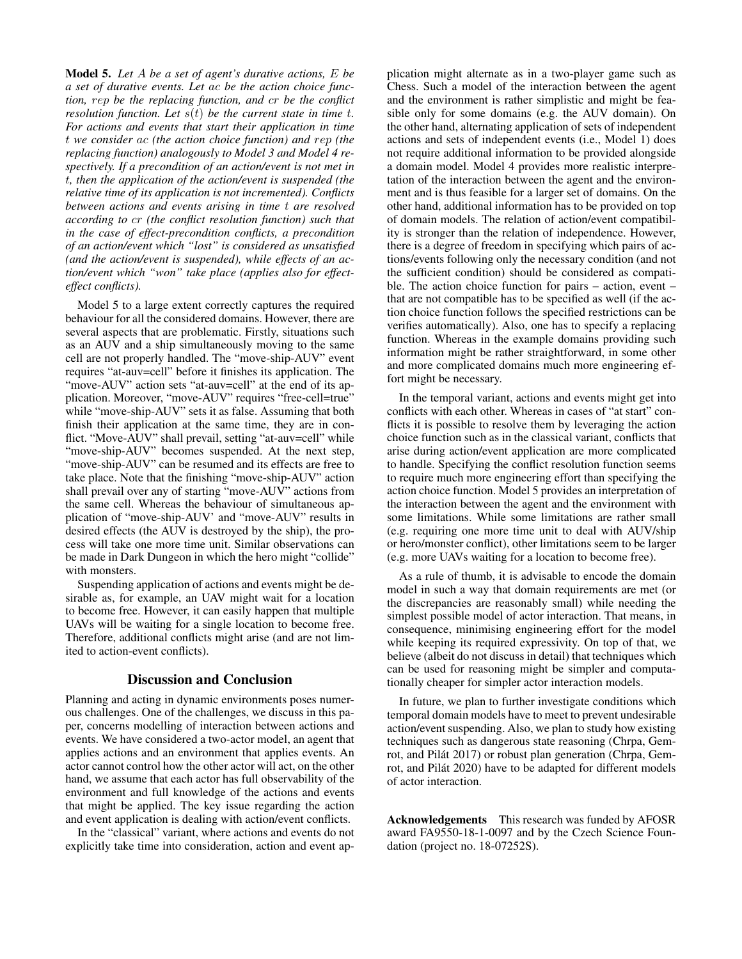Model 5. *Let* A *be a set of agent's durative actions,* E *be a set of durative events. Let* ac *be the action choice function,* rep *be the replacing function, and* cr *be the conflict resolution function. Let*  $s(t)$  *be the current state in time t. For actions and events that start their application in time* t *we consider* ac *(the action choice function) and* rep *(the replacing function) analogously to Model 3 and Model 4 respectively. If a precondition of an action/event is not met in* t*, then the application of the action/event is suspended (the relative time of its application is not incremented). Conflicts between actions and events arising in time* t *are resolved according to* cr *(the conflict resolution function) such that in the case of effect-precondition conflicts, a precondition of an action/event which "lost" is considered as unsatisfied (and the action/event is suspended), while effects of an action/event which "won" take place (applies also for effecteffect conflicts).*

Model 5 to a large extent correctly captures the required behaviour for all the considered domains. However, there are several aspects that are problematic. Firstly, situations such as an AUV and a ship simultaneously moving to the same cell are not properly handled. The "move-ship-AUV" event requires "at-auv=cell" before it finishes its application. The "move-AUV" action sets "at-auv=cell" at the end of its application. Moreover, "move-AUV" requires "free-cell=true" while "move-ship-AUV" sets it as false. Assuming that both finish their application at the same time, they are in conflict. "Move-AUV" shall prevail, setting "at-auv=cell" while "move-ship-AUV" becomes suspended. At the next step, "move-ship-AUV" can be resumed and its effects are free to take place. Note that the finishing "move-ship-AUV" action shall prevail over any of starting "move-AUV" actions from the same cell. Whereas the behaviour of simultaneous application of "move-ship-AUV' and "move-AUV" results in desired effects (the AUV is destroyed by the ship), the process will take one more time unit. Similar observations can be made in Dark Dungeon in which the hero might "collide" with monsters.

Suspending application of actions and events might be desirable as, for example, an UAV might wait for a location to become free. However, it can easily happen that multiple UAVs will be waiting for a single location to become free. Therefore, additional conflicts might arise (and are not limited to action-event conflicts).

## Discussion and Conclusion

Planning and acting in dynamic environments poses numerous challenges. One of the challenges, we discuss in this paper, concerns modelling of interaction between actions and events. We have considered a two-actor model, an agent that applies actions and an environment that applies events. An actor cannot control how the other actor will act, on the other hand, we assume that each actor has full observability of the environment and full knowledge of the actions and events that might be applied. The key issue regarding the action and event application is dealing with action/event conflicts.

In the "classical" variant, where actions and events do not explicitly take time into consideration, action and event application might alternate as in a two-player game such as Chess. Such a model of the interaction between the agent and the environment is rather simplistic and might be feasible only for some domains (e.g. the AUV domain). On the other hand, alternating application of sets of independent actions and sets of independent events (i.e., Model 1) does not require additional information to be provided alongside a domain model. Model 4 provides more realistic interpretation of the interaction between the agent and the environment and is thus feasible for a larger set of domains. On the other hand, additional information has to be provided on top of domain models. The relation of action/event compatibility is stronger than the relation of independence. However, there is a degree of freedom in specifying which pairs of actions/events following only the necessary condition (and not the sufficient condition) should be considered as compatible. The action choice function for pairs – action, event – that are not compatible has to be specified as well (if the action choice function follows the specified restrictions can be verifies automatically). Also, one has to specify a replacing function. Whereas in the example domains providing such information might be rather straightforward, in some other and more complicated domains much more engineering effort might be necessary.

In the temporal variant, actions and events might get into conflicts with each other. Whereas in cases of "at start" conflicts it is possible to resolve them by leveraging the action choice function such as in the classical variant, conflicts that arise during action/event application are more complicated to handle. Specifying the conflict resolution function seems to require much more engineering effort than specifying the action choice function. Model 5 provides an interpretation of the interaction between the agent and the environment with some limitations. While some limitations are rather small (e.g. requiring one more time unit to deal with AUV/ship or hero/monster conflict), other limitations seem to be larger (e.g. more UAVs waiting for a location to become free).

As a rule of thumb, it is advisable to encode the domain model in such a way that domain requirements are met (or the discrepancies are reasonably small) while needing the simplest possible model of actor interaction. That means, in consequence, minimising engineering effort for the model while keeping its required expressivity. On top of that, we believe (albeit do not discuss in detail) that techniques which can be used for reasoning might be simpler and computationally cheaper for simpler actor interaction models.

In future, we plan to further investigate conditions which temporal domain models have to meet to prevent undesirable action/event suspending. Also, we plan to study how existing techniques such as dangerous state reasoning (Chrpa, Gemrot, and Pilát 2017) or robust plan generation (Chrpa, Gemrot, and Pilát 2020) have to be adapted for different models of actor interaction.

Acknowledgements This research was funded by AFOSR award FA9550-18-1-0097 and by the Czech Science Foundation (project no. 18-07252S).